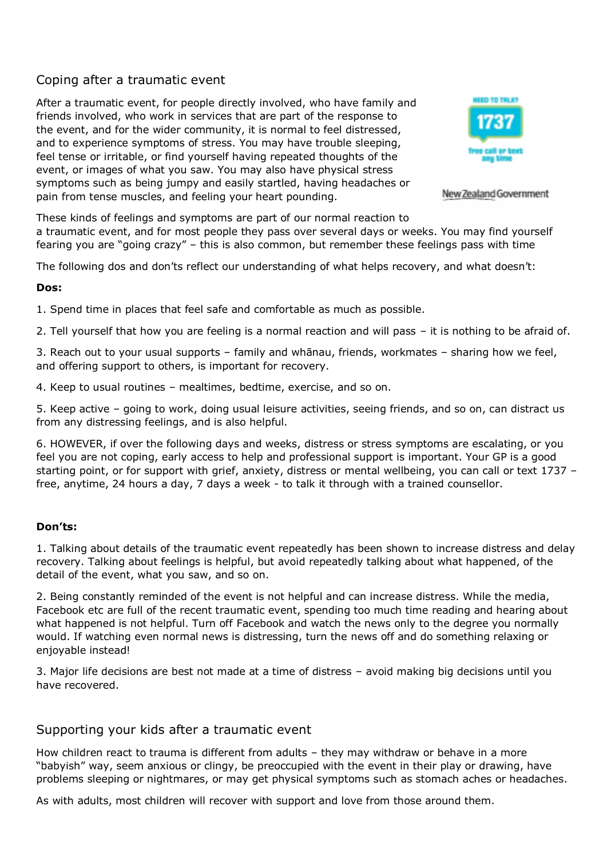# Coping after a traumatic event

After a traumatic event, for people directly involved, who have family and friends involved, who work in services that are part of the response to the event, and for the wider community, it is normal to feel distressed, and to experience symptoms of stress. You may have trouble sleeping, feel tense or irritable, or find yourself having repeated thoughts of the event, or images of what you saw. You may also have physical stress symptoms such as being jumpy and easily startled, having headaches or pain from tense muscles, and feeling your heart pounding.



New Zealand Government

These kinds of feelings and symptoms are part of our normal reaction to a traumatic event, and for most people they pass over several days or weeks. You may find yourself fearing you are "going crazy" – this is also common, but remember these feelings pass with time

The following dos and don'ts reflect our understanding of what helps recovery, and what doesn't:

# **Dos:**

1. Spend time in places that feel safe and comfortable as much as possible.

2. Tell yourself that how you are feeling is a normal reaction and will pass – it is nothing to be afraid of.

3. Reach out to your usual supports – family and whānau, friends, workmates – sharing how we feel, and offering support to others, is important for recovery.

4. Keep to usual routines – mealtimes, bedtime, exercise, and so on.

5. Keep active – going to work, doing usual leisure activities, seeing friends, and so on, can distract us from any distressing feelings, and is also helpful.

6. HOWEVER, if over the following days and weeks, distress or stress symptoms are escalating, or you feel you are not coping, early access to help and professional support is important. Your GP is a good starting point, or for support with grief, anxiety, distress or mental wellbeing, you can call or text 1737 – free, anytime, 24 hours a day, 7 days a week - to talk it through with a trained counsellor.

# **Don'ts:**

1. Talking about details of the traumatic event repeatedly has been shown to increase distress and delay recovery. Talking about feelings is helpful, but avoid repeatedly talking about what happened, of the detail of the event, what you saw, and so on.

2. Being constantly reminded of the event is not helpful and can increase distress. While the media, Facebook etc are full of the recent traumatic event, spending too much time reading and hearing about what happened is not helpful. Turn off Facebook and watch the news only to the degree you normally would. If watching even normal news is distressing, turn the news off and do something relaxing or enjoyable instead!

3. Major life decisions are best not made at a time of distress – avoid making big decisions until you have recovered.

# Supporting your kids after a traumatic event

How children react to trauma is different from adults – they may withdraw or behave in a more "babyish" way, seem anxious or clingy, be preoccupied with the event in their play or drawing, have problems sleeping or nightmares, or may get physical symptoms such as stomach aches or headaches.

As with adults, most children will recover with support and love from those around them.